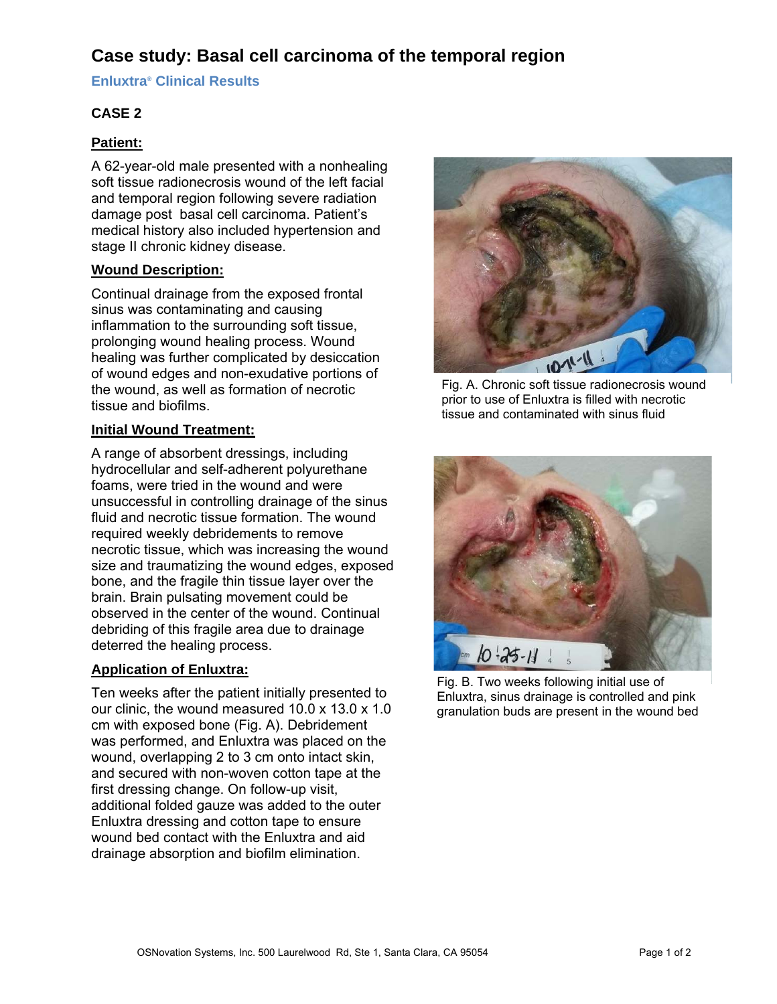# **Case study: Basal cell carcinoma of the temporal region**

**Enluxtra® Clinical Results** 

## **CASE 2**

### **Patient:**

A 62-year-old male presented with a nonhealing soft tissue radionecrosis wound of the left facial and temporal region following severe radiation damage post basal cell carcinoma. Patient's medical history also included hypertension and stage II chronic kidney disease.

### **Wound Description:**

Continual drainage from the exposed frontal sinus was contaminating and causing inflammation to the surrounding soft tissue, prolonging wound healing process. Wound healing was further complicated by desiccation of wound edges and non-exudative portions of the wound, as well as formation of necrotic tissue and biofilms.

### **Initial Wound Treatment:**

A range of absorbent dressings, including hydrocellular and self-adherent polyurethane foams, were tried in the wound and were unsuccessful in controlling drainage of the sinus fluid and necrotic tissue formation. The wound required weekly debridements to remove necrotic tissue, which was increasing the wound size and traumatizing the wound edges, exposed bone, and the fragile thin tissue layer over the brain. Brain pulsating movement could be observed in the center of the wound. Continual debriding of this fragile area due to drainage deterred the healing process.

### **Application of Enluxtra:**

Ten weeks after the patient initially presented to our clinic, the wound measured 10.0 x 13.0 x 1.0 cm with exposed bone (Fig. A). Debridement was performed, and Enluxtra was placed on the wound, overlapping 2 to 3 cm onto intact skin, and secured with non-woven cotton tape at the first dressing change. On follow-up visit, additional folded gauze was added to the outer Enluxtra dressing and cotton tape to ensure wound bed contact with the Enluxtra and aid drainage absorption and biofilm elimination.



Fig. A. Chronic soft tissue radionecrosis wound prior to use of Enluxtra is filled with necrotic tissue and contaminated with sinus fluid



Fig. B. Two weeks following initial use of Enluxtra, sinus drainage is controlled and pink granulation buds are present in the wound bed